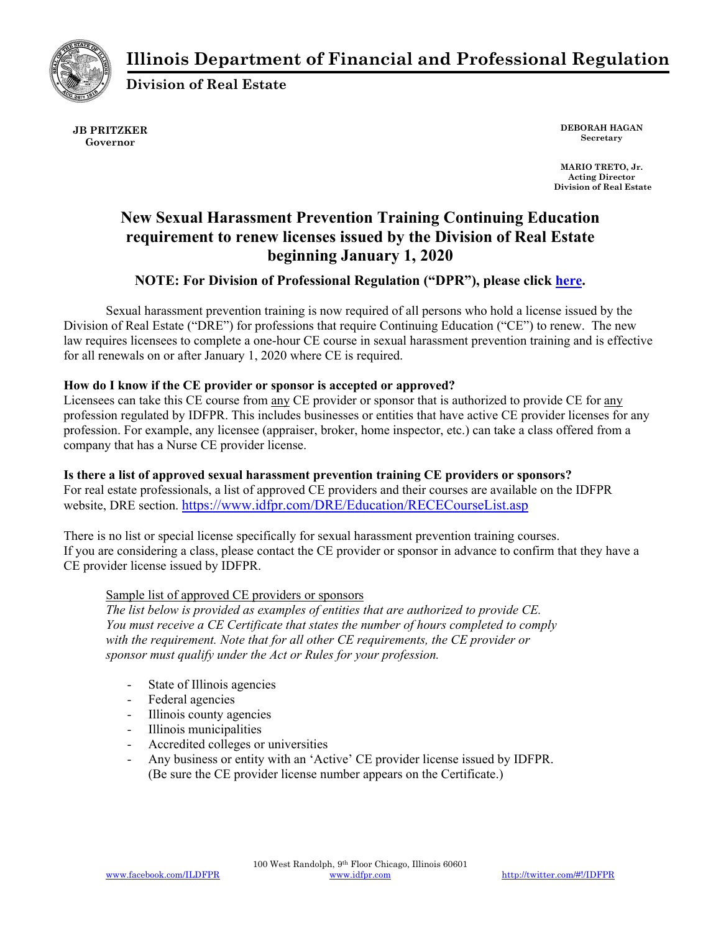



**Division of Real Estate** 

**JB PRITZKER Governor** 

**DEBORAH HAGAN Secretary** 

 **MARIO TRETO, Jr. Acting Director Division of Real Estate**

# **New Sexual Harassment Prevention Training Continuing Education requirement to renew licenses issued by the Division of Real Estate beginning January 1, 2020**

# **NOTE: For Division of Professional Regulation ("DPR"), please click [here.](https://www.idfpr.com/FAQ/DPR/DPR Sexual harassment prevention CE.pdf)**

Sexual harassment prevention training is now required of all persons who hold a license issued by the Division of Real Estate ("DRE") for professions that require Continuing Education ("CE") to renew. The new law requires licensees to complete a one-hour CE course in sexual harassment prevention training and is effective for all renewals on or after January 1, 2020 where CE is required.

# **How do I know if the CE provider or sponsor is accepted or approved?**

Licensees can take this CE course from any CE provider or sponsor that is authorized to provide CE for any profession regulated by IDFPR. This includes businesses or entities that have active CE provider licenses for any profession. For example, any licensee (appraiser, broker, home inspector, etc.) can take a class offered from a company that has a Nurse CE provider license.

# **Is there a list of approved sexual harassment prevention training CE providers or sponsors?**

For real estate professionals, a list of approved CE providers and their courses are available on the IDFPR website, DRE section. https://www.idfpr.com/DRE/Education/RECECourseList.asp

There is no list or special license specifically for sexual harassment prevention training courses. If you are considering a class, please contact the CE provider or sponsor in advance to confirm that they have a CE provider license issued by IDFPR.

# Sample list of approved CE providers or sponsors

*The list below is provided as examples of entities that are authorized to provide CE. You must receive a CE Certificate that states the number of hours completed to comply with the requirement. Note that for all other CE requirements, the CE provider or sponsor must qualify under the Act or Rules for your profession.*

- State of Illinois agencies
- Federal agencies
- Illinois county agencies
- Illinois municipalities
- Accredited colleges or universities
- Any business or entity with an 'Active' CE provider license issued by IDFPR. (Be sure the CE provider license number appears on the Certificate.)